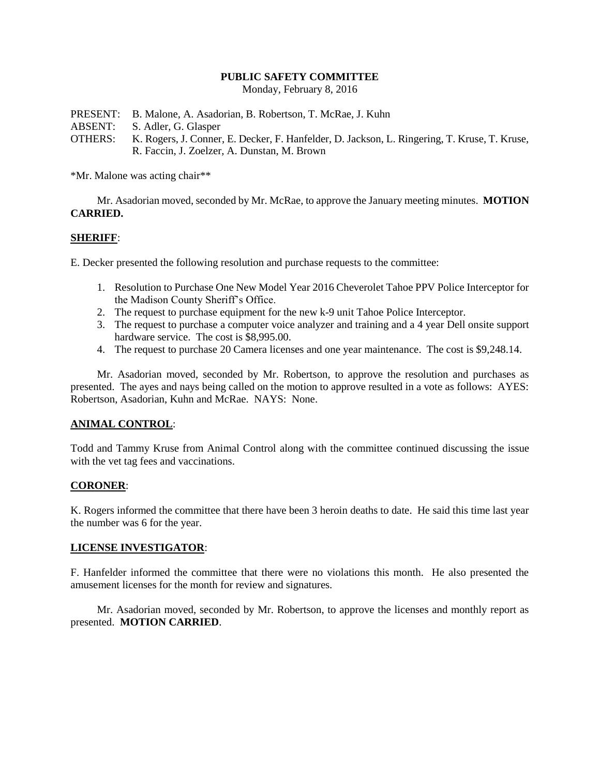## **PUBLIC SAFETY COMMITTEE**

Monday, February 8, 2016

PRESENT: B. Malone, A. Asadorian, B. Robertson, T. McRae, J. Kuhn ABSENT: S. Adler, G. Glasper OTHERS: K. Rogers, J. Conner, E. Decker, F. Hanfelder, D. Jackson, L. Ringering, T. Kruse, T. Kruse, R. Faccin, J. Zoelzer, A. Dunstan, M. Brown

\*Mr. Malone was acting chair\*\*

Mr. Asadorian moved, seconded by Mr. McRae, to approve the January meeting minutes. **MOTION CARRIED.**

## **SHERIFF**:

E. Decker presented the following resolution and purchase requests to the committee:

- 1. Resolution to Purchase One New Model Year 2016 Cheverolet Tahoe PPV Police Interceptor for the Madison County Sheriff's Office.
- 2. The request to purchase equipment for the new k-9 unit Tahoe Police Interceptor.
- 3. The request to purchase a computer voice analyzer and training and a 4 year Dell onsite support hardware service. The cost is \$8,995.00.
- 4. The request to purchase 20 Camera licenses and one year maintenance. The cost is \$9,248.14.

Mr. Asadorian moved, seconded by Mr. Robertson, to approve the resolution and purchases as presented. The ayes and nays being called on the motion to approve resulted in a vote as follows: AYES: Robertson, Asadorian, Kuhn and McRae. NAYS: None.

#### **ANIMAL CONTROL**:

Todd and Tammy Kruse from Animal Control along with the committee continued discussing the issue with the vet tag fees and vaccinations.

#### **CORONER**:

K. Rogers informed the committee that there have been 3 heroin deaths to date. He said this time last year the number was 6 for the year.

#### **LICENSE INVESTIGATOR**:

F. Hanfelder informed the committee that there were no violations this month. He also presented the amusement licenses for the month for review and signatures.

Mr. Asadorian moved, seconded by Mr. Robertson, to approve the licenses and monthly report as presented. **MOTION CARRIED**.